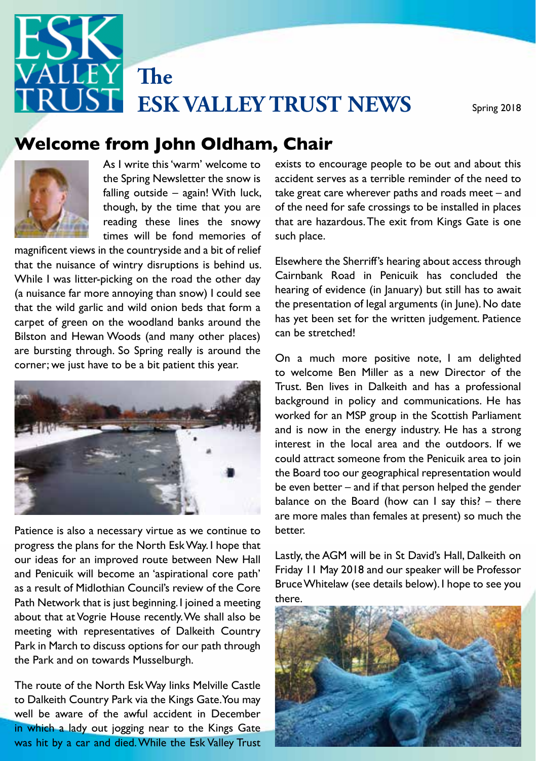

# Autumn 2013 **Welcome from John Oldham, Chair**



**Chairman's International Structure Chairman's International Structure Chairman's Chairman's Chairman's Chairman**<br>The fond memories of As I write this 'warm' welcome to the Spring Newsletter the snow is falling outside – again! With luck, though, by the time that you are reading these lines the snowy

that the nuisance of wintry disruptions is behind us. Elsewhere the Sherriff's hearing about access through The twas little pleasing on the road the other day<br>(a nuisance far more annoying than snow) I could see hearing of evidence (in January) bu carpet of green on the woodland banks around the has yet been set for the written judgement. Patience Bilston and Hewan Woods (and many other places) can be stretched: are bursting airbugn: 50 Spring really is around magnificent views in the countryside and a bit of relief While I was litter-picking on the road the other day that the wild garlic and wild onion beds that form a are bursting through. So Spring really is around the



progress the plans for the North Esk Way. I hope that about that at Vogrie House recently. We shall also be meeting with representatives of Dalkeith Country in the plan is to make in the plan is to make it make it with as follows – the Park and on towards Musselburgh. our ideas for an improved route between New Hall and Penicuik will become an 'aspirational core path' as a result of Midlothian Council's review of the Core Path Network that is just beginning. I joined a meeting Park in March to discuss options for our path through

The route of the North Esk Way links Melville Castle, and the state of the North Esk Way links Melville Castle was hit by a car and died. While the Esk Valley Trust to Dalkeith Country Park via the Kings Gate. You may

exists to encourage people to be out and about this accident serves as a terrible reminder of the need to take great care wherever paths and roads meet – and of the need for safe crossings to be installed in places that are hazardous. The exit from Kings Gate is one such place.

Elsewhere the Sherriff's hearing about access through Cairnbank Road in Penicuik has concluded the hearing of evidence (in January) but still has to await the presentation of legal arguments (in June). No date has yet been set for the written judgement. Patience can be stretched!

Frail is a new Director of the correspondence of the loss of the loss of the loss of the loss of the loss of the loss of the loss of the loss of the loss of the loss of the loss of the loss of the loss of the loss of the l footpath/cycle was access the River North Esk at Esk at Esk at Esk at Eski at Esk at Esk at Esk at Esk at Esk at Esk at Esk at Esk at Esk at Esk at Esk at Esk at Esk at Esk at Esk at Esk at Esk at Esk at Esk at Esk at Esk  $\frac{1}{2}$  interest in the local area and the outdoors. If we interest in the local area and the outdoors. If we  $\bullet$  the Board too our geographical representation would  $\blacksquare$  balance on the Board (how can I say this? – there Patience is also a necessary virtue as we continue to better. On a much more positive note, I am delighted to welcome Ben Miller as a new Director of the worked for an MSP group in the Scottish Parliament and is now in the energy industry. He has a strong could attract someone from the Penicuik area to join be even better – and if that person helped the gender are more males than females at present) so much the better.

> Lastly, the AGM will be in St David's Hall, Dalkeith on Friday 11 May 2018 and our speaker will be Professor Bruce Whitelaw (see details below). I hope to see you there.

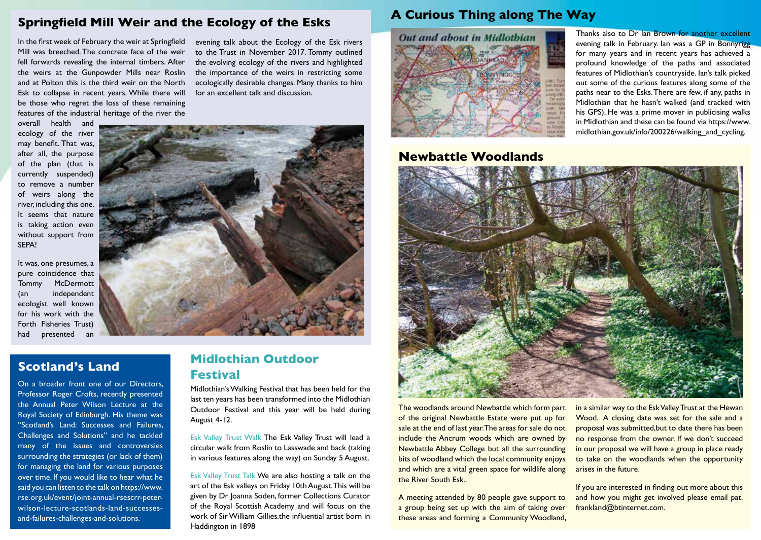#### **Springfield Mill Weir and the Ecology of the Esks**

In the first week of February the weir at Springfield Mill was breeched. The concrete face of the weir fell forwards revealing the internal timbers. After the weirs at the Gunpowder Mills near Roslin and at Polton this is the third weir on the North Esk to collapse in recent years. While there will be those who regret the loss of these remaining features of the industrial heritage of the river the

evening talk about the Ecology of the Esk rivers to the Trust in November 2017. Tommy outlined the evolving ecology of the rivers and highlighted the importance of the weirs in restricting some ecologically desirable changes. Many thanks to him for an excellent talk and discussion.

overall health and ecology of the river may benefit. That was, after all, the purpose of the plan (that is currently suspended) to remove a number of weirs along the river, including this one. It seems that nature is taking action even without support from SEPA!

It was, one presumes, a pure coincidence that Tommy McDermott (an independent ecologist well known for his work with the Forth Fisheries Trust) had presented an

# **Scotland's Land**

On a broader front one of our Directors, Professor Roger Crofts, recently presented the Annual Peter Wilson Lecture at the Royal Society of Edinburgh. His theme was "Scotland's Land: Successes and Failures, Challenges and Solutions" and he tackled many of the issues and controversies surrounding the strategies (or lack of them) for managing the land for various purposes over time. If you would like to hear what he said you can listen to the talk on https://www. rse.org.uk/event/joint-annual-rsescrr-peterwilson-lecture-scotlands-land-successesand-failures-challenges-and-solutions.

# **Midlothian Outdoor Festival**

Midlothian's Walking Festival that has been held for the last ten years has been transformed into the Midlothian Outdoor Festival and this year will be held during August 4-12.

Esk Valley Trust Walk The Esk Valley Trust will lead a circular walk from Roslin to Lasswade and back (taking in various features along the way) on Sunday 5 August.

Esk Valley Trust Talk We are also hosting a talk on the art of the Esk valleys on Friday 10th August. This will be given by Dr Joanna Soden, former Collections Curator of the Royal Scottish Academy and will focus on the work of Sir William Gillies the influential artist born in Haddington in 1898

# **A Curious Thing along The Way**



#### **Newbattle Woodlands**

Thanks also to Dr Ian Brown for another excellent evening talk in February. Ian was a GP in Bonnyrigg for many years and in recent years has achieved a profound knowledge of the paths and associated features of Midlothian's countryside. Ian's talk picked out some of the curious features along some of the paths near to the Esks. There are few, if any, paths in Midlothian that he hasn't walked (and tracked with his GPS). He was a prime mover in publicising walks in Midlothian and these can be found via https://www. midlothian.gov.uk/info/200226/walking\_and\_cycling.



The woodlands around Newbattle which form part of the original Newbattle Estate were put up for sale at the end of last year. The areas for sale do not include the Ancrum woods which are owned by Newbattle Abbey College but all the surrounding bits of woodland which the local community enjoys and which are a vital green space for wildlife along the River South Esk..

A meeting attended by 80 people gave support to a group being set up with the aim of taking over these areas and forming a Community Woodland,

in a similar way to the Esk Valley Trust at the Hewan Wood. A closing date was set for the sale and a proposal was submitted,but to date there has been no response from the owner. If we don't succeed in our proposal we will have a group in place ready to take on the woodlands when the opportunity arises in the future.

If you are interested in finding out more about this and how you might get involved please email pat. frankland@btinternet.com.